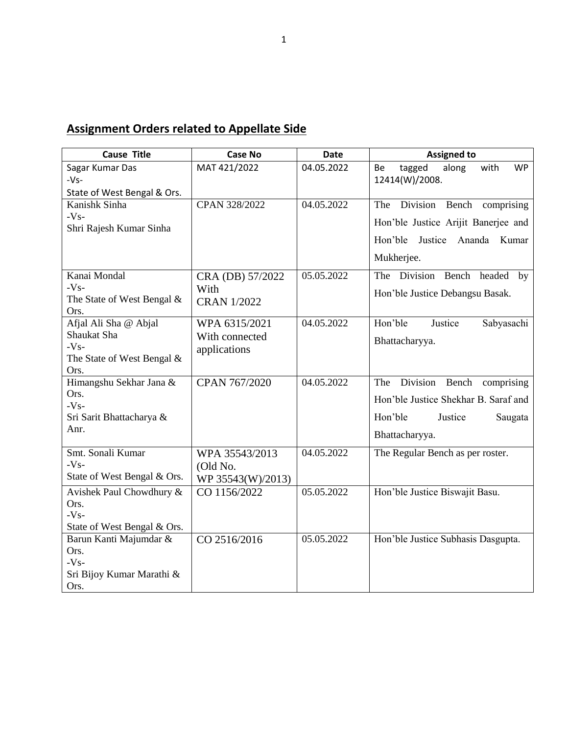## **Assignment Orders related to Appellate Side**

| <b>Cause Title</b>                   | <b>Case No</b>     | <b>Date</b> | <b>Assigned to</b>                         |
|--------------------------------------|--------------------|-------------|--------------------------------------------|
| Sagar Kumar Das                      | MAT 421/2022       | 04.05.2022  | along<br>with<br><b>WP</b><br>tagged<br>Be |
| $-Vs-$                               |                    |             | 12414(W)/2008.                             |
| State of West Bengal & Ors.          |                    |             |                                            |
| Kanishk Sinha<br>$-Vs-$              | CPAN 328/2022      | 04.05.2022  | The Division Bench comprising              |
| Shri Rajesh Kumar Sinha              |                    |             | Hon'ble Justice Arijit Banerjee and        |
|                                      |                    |             | Hon'ble<br>Justice Ananda Kumar            |
|                                      |                    |             | Mukherjee.                                 |
|                                      |                    |             |                                            |
| Kanai Mondal                         | CRA (DB) 57/2022   | 05.05.2022  | The Division Bench headed<br>by            |
| $-Vs-$                               | With               |             | Hon'ble Justice Debangsu Basak.            |
| The State of West Bengal &           | <b>CRAN 1/2022</b> |             |                                            |
| Ors.                                 |                    | 04.05.2022  | Hon'ble                                    |
| Afjal Ali Sha @ Abjal<br>Shaukat Sha | WPA 6315/2021      |             | Justice<br>Sabyasachi                      |
| $-Vs-$                               | With connected     |             | Bhattacharyya.                             |
| The State of West Bengal $\&$        | applications       |             |                                            |
| Ors.                                 |                    |             |                                            |
| Himangshu Sekhar Jana &              | CPAN 767/2020      | 04.05.2022  | The Division Bench comprising              |
| Ors.                                 |                    |             | Hon'ble Justice Shekhar B. Saraf and       |
| $-Vs-$                               |                    |             |                                            |
| Sri Sarit Bhattacharya &             |                    |             | Hon'ble<br>Justice<br>Saugata              |
| Anr.                                 |                    |             | Bhattacharyya.                             |
| Smt. Sonali Kumar                    | WPA 35543/2013     | 04.05.2022  | The Regular Bench as per roster.           |
| $-Vs-$                               |                    |             |                                            |
| State of West Bengal & Ors.          | (Old No.           |             |                                            |
|                                      | WP 35543(W)/2013)  |             |                                            |
| Avishek Paul Chowdhury &<br>Ors.     | CO 1156/2022       | 05.05.2022  | Hon'ble Justice Biswajit Basu.             |
| $-Vs-$                               |                    |             |                                            |
| State of West Bengal & Ors.          |                    |             |                                            |
| Barun Kanti Majumdar &               | CO 2516/2016       | 05.05.2022  | Hon'ble Justice Subhasis Dasgupta.         |
| Ors.                                 |                    |             |                                            |
| $-Vs-$                               |                    |             |                                            |
| Sri Bijoy Kumar Marathi &            |                    |             |                                            |
| Ors.                                 |                    |             |                                            |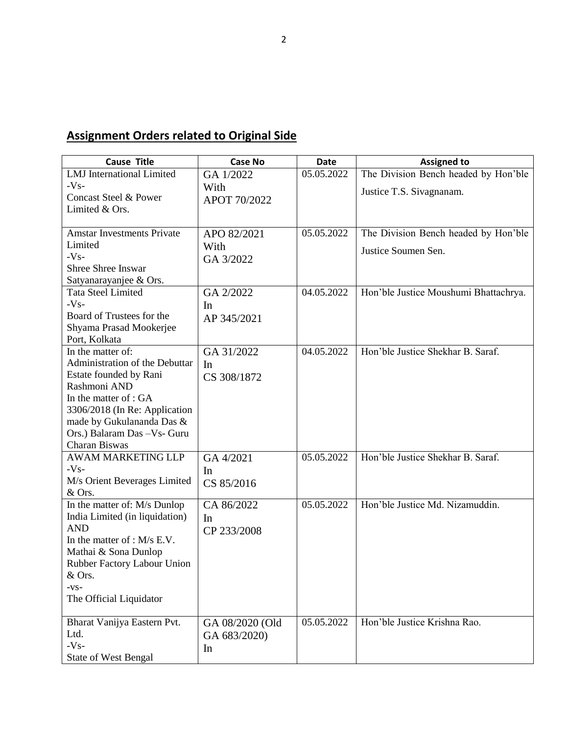## **Assignment Orders related to Original Side**

| <b>Cause Title</b>                  | <b>Case No</b>  | <b>Date</b> | <b>Assigned to</b>                    |
|-------------------------------------|-----------------|-------------|---------------------------------------|
| <b>LMJ</b> International Limited    | GA 1/2022       | 05.05.2022  | The Division Bench headed by Hon'ble  |
| $-Vs-$                              | With            |             | Justice T.S. Sivagnanam.              |
| Concast Steel & Power               | APOT 70/2022    |             |                                       |
| Limited & Ors.                      |                 |             |                                       |
|                                     |                 |             |                                       |
| <b>Amstar Investments Private</b>   | APO 82/2021     | 05.05.2022  | The Division Bench headed by Hon'ble  |
| Limited                             | With            |             | Justice Soumen Sen.                   |
| $-Vs-$                              | GA 3/2022       |             |                                       |
| <b>Shree Shree Inswar</b>           |                 |             |                                       |
| Satyanarayanjee & Ors.              |                 |             |                                       |
| <b>Tata Steel Limited</b>           | GA 2/2022       | 04.05.2022  | Hon'ble Justice Moushumi Bhattachrya. |
| $-Vs-$                              | In              |             |                                       |
| Board of Trustees for the           | AP 345/2021     |             |                                       |
| Shyama Prasad Mookerjee             |                 |             |                                       |
| Port, Kolkata<br>In the matter of:  |                 | 04.05.2022  | Hon'ble Justice Shekhar B. Saraf.     |
| Administration of the Debuttar      | GA 31/2022      |             |                                       |
| Estate founded by Rani              | In              |             |                                       |
| Rashmoni AND                        | CS 308/1872     |             |                                       |
| In the matter of : GA               |                 |             |                                       |
| 3306/2018 (In Re: Application       |                 |             |                                       |
| made by Gukulananda Das &           |                 |             |                                       |
| Ors.) Balaram Das - Vs- Guru        |                 |             |                                       |
| Charan Biswas                       |                 |             |                                       |
| <b>AWAM MARKETING LLP</b>           | GA 4/2021       | 05.05.2022  | Hon'ble Justice Shekhar B. Saraf.     |
| $-Vs-$                              | In              |             |                                       |
| M/s Orient Beverages Limited        | CS 85/2016      |             |                                       |
| & Ors.                              |                 |             |                                       |
| In the matter of: M/s Dunlop        | CA 86/2022      | 05.05.2022  | Hon'ble Justice Md. Nizamuddin.       |
| India Limited (in liquidation)      | In              |             |                                       |
| <b>AND</b>                          | CP 233/2008     |             |                                       |
| In the matter of : $M/s$ E.V.       |                 |             |                                       |
| Mathai & Sona Dunlop                |                 |             |                                       |
| Rubber Factory Labour Union         |                 |             |                                       |
| & Ors.                              |                 |             |                                       |
| $-VS-$                              |                 |             |                                       |
| The Official Liquidator             |                 |             |                                       |
|                                     |                 | 05.05.2022  | Hon'ble Justice Krishna Rao.          |
| Bharat Vanijya Eastern Pvt.<br>Ltd. | GA 08/2020 (Old |             |                                       |
| $-Vs-$                              | GA 683/2020)    |             |                                       |
| <b>State of West Bengal</b>         | In              |             |                                       |